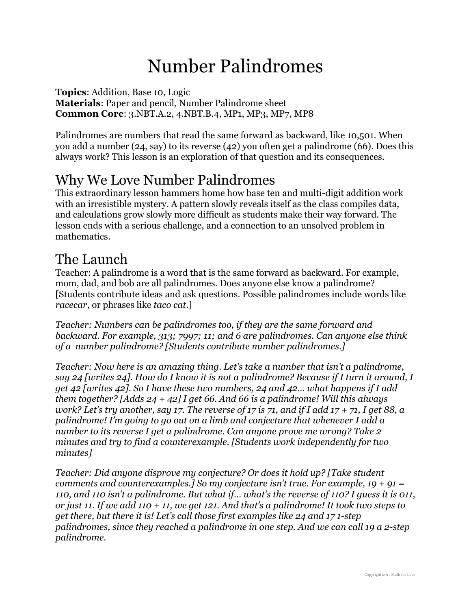# Number Palindromes

**Topics**: Addition, Base 10, Logic **Materials**: Paper and pencil, Number Palindrome sheet **Common Core**: 3.NBT.A.2, 4.NBT.B.4, MP1, MP3, MP7, MP8

Palindromes are numbers that read the same forward as backward, like 10,501. When you add a number (24, say) to its reverse (42) you often get a palindrome (66). Does this always work? This lesson is an exploration of that question and its consequences.

### Why We Love Number Palindromes

This extraordinary lesson hammers home how base ten and multi-digit addition work with an irresistible mystery. A pattern slowly reveals itself as the class compiles data, and calculations grow slowly more difficult as students make their way forward. The lesson ends with a serious challenge, and a connection to an unsolved problem in mathematics.

#### The Launch

Teacher: A palindrome is a word that is the same forward as backward. For example, mom, dad, and bob are all palindromes. Does anyone else know a palindrome? [Students contribute ideas and ask questions. Possible palindromes include words like *racecar*, or phrases like *taco cat*.]

*Teacher: Numbers can be palindromes too, if they are the same forward and backward. For example, 313; 7997; 11; and 6 are palindromes. Can anyone else think of a number palindrome? [Students contribute number palindromes.]* 

*Teacher: Now here is an amazing thing. Let's take a number that isn't a palindrome, say 24 [writes 24]. How do I know it is not a palindrome? Because if I turn it around, I get 42 [writes 42]. So I have these two numbers, 24 and 42… what happens if I add them together? [Adds 24 + 42] I get 66. And 66 is a palindrome! Will this always work? Let's try another, say 17. The reverse of 17 is 71, and if I add 17 + 71, I get 88, a palindrome! I'm going to go out on a limb and conjecture that whenever I add a number to its reverse I get a palindrome. Can anyone prove me wrong? Take 2 minutes and try to find a counterexample. [Students work independently for two minutes]* 

*Teacher: Did anyone disprove my conjecture? Or does it hold up? [Take student comments and counterexamples.] So my conjecture isn't true. For example, 19 + 91 = 110, and 110 isn't a palindrome. But what if… what's the reverse of 110? I guess it is 011, or just 11. If we add 110 + 11, we get 121. And that's a palindrome! It took two steps to get there, but there it is! Let's call those first examples like 24 and 17 1-step palindromes, since they reached a palindrome in one step. And we can call 19 a 2-step palindrome.*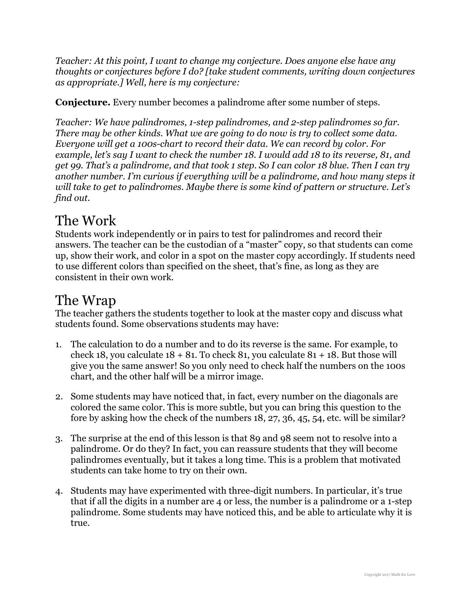*Teacher: At this point, I want to change my conjecture. Does anyone else have any thoughts or conjectures before I do? [take student comments, writing down conjectures as appropriate.] Well, here is my conjecture:* 

**Conjecture.** Every number becomes a palindrome after some number of steps.

*Teacher: We have palindromes, 1-step palindromes, and 2-step palindromes so far. There may be other kinds. What we are going to do now is try to collect some data. Everyone will get a 100s-chart to record their data. We can record by color. For example, let's say I want to check the number 18. I would add 18 to its reverse, 81, and get 99. That's a palindrome, and that took 1 step. So I can color 18 blue. Then I can try another number. I'm curious if everything will be a palindrome, and how many steps it will take to get to palindromes. Maybe there is some kind of pattern or structure. Let's find out.* 

## The Work

Students work independently or in pairs to test for palindromes and record their answers. The teacher can be the custodian of a "master" copy, so that students can come up, show their work, and color in a spot on the master copy accordingly. If students need to use different colors than specified on the sheet, that's fine, as long as they are consistent in their own work.

#### The Wrap

The teacher gathers the students together to look at the master copy and discuss what students found. Some observations students may have:

- 1. The calculation to do a number and to do its reverse is the same. For example, to check 18, you calculate  $18 + 81$ . To check 81, you calculate  $81 + 18$ . But those will give you the same answer! So you only need to check half the numbers on the 100s chart, and the other half will be a mirror image.
- 2. Some students may have noticed that, in fact, every number on the diagonals are colored the same color. This is more subtle, but you can bring this question to the fore by asking how the check of the numbers 18, 27, 36, 45, 54, etc. will be similar?
- 3. The surprise at the end of this lesson is that 89 and 98 seem not to resolve into a palindrome. Or do they? In fact, you can reassure students that they will become palindromes eventually, but it takes a long time. This is a problem that motivated students can take home to try on their own.
- 4. Students may have experimented with three-digit numbers. In particular, it's true that if all the digits in a number are 4 or less, the number is a palindrome or a 1-step palindrome. Some students may have noticed this, and be able to articulate why it is true.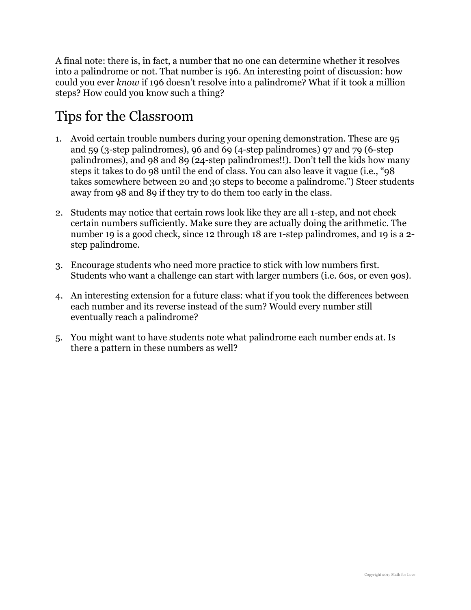A final note: there is, in fact, a number that no one can determine whether it resolves into a palindrome or not. That number is 196. An interesting point of discussion: how could you ever *know* if 196 doesn't resolve into a palindrome? What if it took a million steps? How could you know such a thing?

### Tips for the Classroom

- 1. Avoid certain trouble numbers during your opening demonstration. These are 95 and 59 (3-step palindromes), 96 and 69 (4-step palindromes) 97 and 79 (6-step palindromes), and 98 and 89 (24-step palindromes!!). Don't tell the kids how many steps it takes to do 98 until the end of class. You can also leave it vague (i.e., "98 takes somewhere between 20 and 30 steps to become a palindrome.") Steer students away from 98 and 89 if they try to do them too early in the class.
- 2. Students may notice that certain rows look like they are all 1-step, and not check certain numbers sufficiently. Make sure they are actually doing the arithmetic. The number 19 is a good check, since 12 through 18 are 1-step palindromes, and 19 is a 2 step palindrome.
- 3. Encourage students who need more practice to stick with low numbers first. Students who want a challenge can start with larger numbers (i.e. 60s, or even 90s).
- 4. An interesting extension for a future class: what if you took the differences between each number and its reverse instead of the sum? Would every number still eventually reach a palindrome?
- 5. You might want to have students note what palindrome each number ends at. Is there a pattern in these numbers as well?